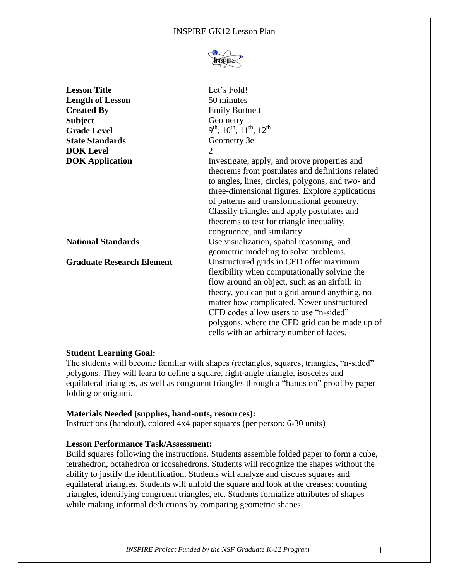#### INSPIRE GK12 Lesson Plan



| <b>Lesson Title</b>              | Let's Fold!                                                                                                                                                                                                                                                                                                                                                                       |
|----------------------------------|-----------------------------------------------------------------------------------------------------------------------------------------------------------------------------------------------------------------------------------------------------------------------------------------------------------------------------------------------------------------------------------|
| <b>Length of Lesson</b>          | 50 minutes                                                                                                                                                                                                                                                                                                                                                                        |
| <b>Created By</b>                | <b>Emily Burtnett</b>                                                                                                                                                                                                                                                                                                                                                             |
| <b>Subject</b>                   | Geometry                                                                                                                                                                                                                                                                                                                                                                          |
| <b>Grade Level</b>               | $9^{th}$ , $10^{th}$ , $11^{th}$ , $12^{th}$                                                                                                                                                                                                                                                                                                                                      |
| <b>State Standards</b>           | Geometry 3e                                                                                                                                                                                                                                                                                                                                                                       |
| <b>DOK</b> Level                 | $\overline{2}$                                                                                                                                                                                                                                                                                                                                                                    |
| <b>DOK</b> Application           | Investigate, apply, and prove properties and<br>theorems from postulates and definitions related<br>to angles, lines, circles, polygons, and two- and<br>three-dimensional figures. Explore applications<br>of patterns and transformational geometry.<br>Classify triangles and apply postulates and<br>theorems to test for triangle inequality,<br>congruence, and similarity. |
| <b>National Standards</b>        | Use visualization, spatial reasoning, and<br>geometric modeling to solve problems.                                                                                                                                                                                                                                                                                                |
| <b>Graduate Research Element</b> | Unstructured grids in CFD offer maximum<br>flexibility when computationally solving the<br>flow around an object, such as an airfoil: in<br>theory, you can put a grid around anything, no<br>matter how complicated. Newer unstructured<br>CFD codes allow users to use "n-sided"<br>polygons, where the CFD grid can be made up of<br>cells with an arbitrary number of faces.  |

#### **Student Learning Goal:**

The students will become familiar with shapes (rectangles, squares, triangles, "n-sided" polygons. They will learn to define a square, right-angle triangle, isosceles and equilateral triangles, as well as congruent triangles through a "hands on" proof by paper folding or origami.

#### **Materials Needed (supplies, hand-outs, resources):**

Instructions (handout), colored 4x4 paper squares (per person: 6-30 units)

#### **Lesson Performance Task/Assessment:**

Build squares following the instructions. Students assemble folded paper to form a cube, tetrahedron, octahedron or icosahedrons. Students will recognize the shapes without the ability to justify the identification. Students will analyze and discuss squares and equilateral triangles. Students will unfold the square and look at the creases: counting triangles, identifying congruent triangles, etc. Students formalize attributes of shapes while making informal deductions by comparing geometric shapes.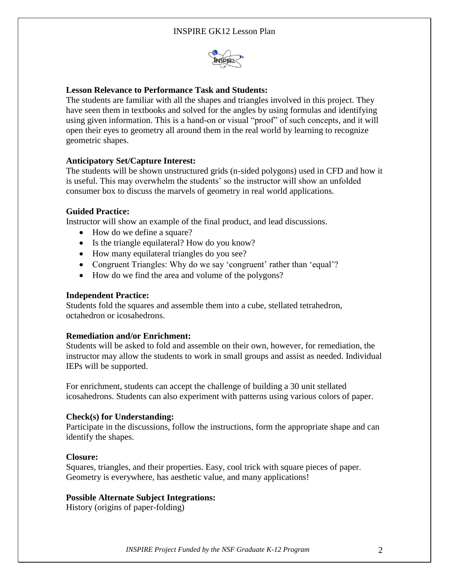

# **Lesson Relevance to Performance Task and Students:**

The students are familiar with all the shapes and triangles involved in this project. They have seen them in textbooks and solved for the angles by using formulas and identifying using given information. This is a hand-on or visual "proof" of such concepts, and it will open their eyes to geometry all around them in the real world by learning to recognize geometric shapes.

# **Anticipatory Set/Capture Interest:**

The students will be shown unstructured grids (n-sided polygons) used in CFD and how it is useful. This may overwhelm the students' so the instructor will show an unfolded consumer box to discuss the marvels of geometry in real world applications.

### **Guided Practice:**

Instructor will show an example of the final product, and lead discussions.

- How do we define a square?
- Is the triangle equilateral? How do you know?
- How many equilateral triangles do you see?
- Congruent Triangles: Why do we say 'congruent' rather than 'equal'?
- How do we find the area and volume of the polygons?

### **Independent Practice:**

Students fold the squares and assemble them into a cube, stellated tetrahedron, octahedron or icosahedrons.

### **Remediation and/or Enrichment:**

Students will be asked to fold and assemble on their own, however, for remediation, the instructor may allow the students to work in small groups and assist as needed. Individual IEPs will be supported.

For enrichment, students can accept the challenge of building a 30 unit stellated icosahedrons. Students can also experiment with patterns using various colors of paper.

### **Check(s) for Understanding:**

Participate in the discussions, follow the instructions, form the appropriate shape and can identify the shapes.

### **Closure:**

Squares, triangles, and their properties. Easy, cool trick with square pieces of paper. Geometry is everywhere, has aesthetic value, and many applications!

### **Possible Alternate Subject Integrations:**

History (origins of paper-folding)